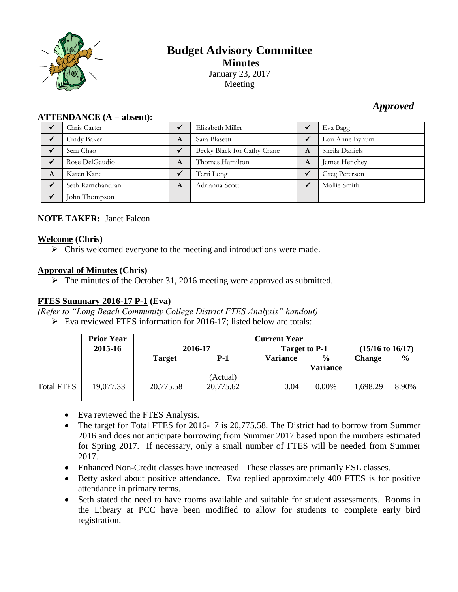

# **Budget Advisory Committee Minutes** January 23, 2017 Meeting

# *Approved*

| $ALI$ LENDANCE $(A = a$ bsent); |                  |   |                             |              |                |  |  |  |
|---------------------------------|------------------|---|-----------------------------|--------------|----------------|--|--|--|
|                                 | Chris Carter     |   | Elizabeth Miller            | $\checkmark$ | Eva Bagg       |  |  |  |
|                                 | Cindy Baker      | A | Sara Blasetti               | $\checkmark$ | Lou Anne Bynum |  |  |  |
|                                 | Sem Chao         |   | Becky Black for Cathy Crane | A            | Sheila Daniels |  |  |  |
|                                 | Rose DelGaudio   | A | Thomas Hamilton             | A            | James Henchey  |  |  |  |
| A                               | Karen Kane       |   | Terri Long                  | $\checkmark$ | Greg Peterson  |  |  |  |
|                                 | Seth Ramchandran | A | Adrianna Scott              | √            | Mollie Smith   |  |  |  |
|                                 | John Thompson    |   |                             |              |                |  |  |  |

# **NOTE TAKER:** Janet Falcon

**ATTENDANCE (A = absent):**

#### **Welcome (Chris)**

 $\triangleright$  Chris welcomed everyone to the meeting and introductions were made.

## **Approval of Minutes (Chris)**

 $\triangleright$  The minutes of the October 31, 2016 meeting were approved as submitted.

## **FTES Summary 2016-17 P-1 (Eva)**

*(Refer to "Long Beach Community College District FTES Analysis" handout)*

Eva reviewed FTES information for 2016-17; listed below are totals:

|                   | <b>Prior Year</b> | <b>Current Year</b> |                       |                      |               |                             |       |
|-------------------|-------------------|---------------------|-----------------------|----------------------|---------------|-----------------------------|-------|
|                   | 2015-16           | 2016-17             |                       | <b>Target to P-1</b> |               | $(15/16 \text{ to } 16/17)$ |       |
|                   |                   | <b>Target</b>       | P-1                   | Variance             | $\frac{6}{9}$ | <b>Change</b>               | $\%$  |
|                   |                   |                     |                       |                      | Variance      |                             |       |
| <b>Total FTES</b> | 19,077.33         | 20,775.58           | (Actual)<br>20,775.62 | 0.04                 | $0.00\%$      | 1,698.29                    | 8.90% |

- Eva reviewed the FTES Analysis.
- The target for Total FTES for 2016-17 is 20,775.58. The District had to borrow from Summer 2016 and does not anticipate borrowing from Summer 2017 based upon the numbers estimated for Spring 2017. If necessary, only a small number of FTES will be needed from Summer 2017.
- Enhanced Non-Credit classes have increased. These classes are primarily ESL classes.
- Betty asked about positive attendance. Eva replied approximately 400 FTES is for positive attendance in primary terms.
- Seth stated the need to have rooms available and suitable for student assessments. Rooms in the Library at PCC have been modified to allow for students to complete early bird registration.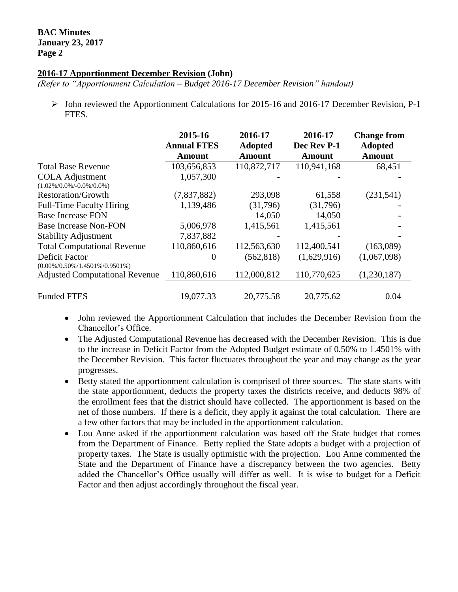#### **2016-17 Apportionment December Revision (John)**

*(Refer to "Apportionment Calculation – Budget 2016-17 December Revision" handout)*

 $\triangleright$  John reviewed the Apportionment Calculations for 2015-16 and 2016-17 December Revision, P-1 FTES.

|                                                              | 2015-16<br><b>Annual FTES</b> | 2016-17<br><b>Adopted</b> | 2016-17<br>Dec Rev P-1 | <b>Change from</b><br><b>Adopted</b> |
|--------------------------------------------------------------|-------------------------------|---------------------------|------------------------|--------------------------------------|
|                                                              | Amount                        | Amount                    | <b>Amount</b>          | <b>Amount</b>                        |
| <b>Total Base Revenue</b>                                    | 103,656,853                   | 110,872,717               | 110,941,168            | 68,451                               |
| <b>COLA Adjustment</b><br>$(1.02\%/0.0\%/0.0\%/0.0\%)$       | 1,057,300                     |                           |                        |                                      |
| <b>Restoration/Growth</b>                                    | (7,837,882)                   | 293,098                   | 61,558                 | (231,541)                            |
| <b>Full-Time Faculty Hiring</b>                              | 1,139,486                     | (31,796)                  | (31,796)               |                                      |
| <b>Base Increase FON</b>                                     |                               | 14,050                    | 14,050                 |                                      |
| <b>Base Increase Non-FON</b>                                 | 5,006,978                     | 1,415,561                 | 1,415,561              |                                      |
| <b>Stability Adjustment</b>                                  | 7,837,882                     |                           |                        |                                      |
| <b>Total Computational Revenue</b>                           | 110,860,616                   | 112,563,630               | 112,400,541            | (163,089)                            |
| <b>Deficit Factor</b><br>$(0.00\%/0.50\%/1.4501\%/0.9501\%)$ | 0                             | (562, 818)                | (1,629,916)            | (1,067,098)                          |
| <b>Adjusted Computational Revenue</b>                        | 110,860,616                   | 112,000,812               | 110,770,625            | (1,230,187)                          |
| <b>Funded FTES</b>                                           | 19,077.33                     | 20,775.58                 | 20,775.62              | 0.04                                 |

- John reviewed the Apportionment Calculation that includes the December Revision from the Chancellor's Office.
- The Adjusted Computational Revenue has decreased with the December Revision. This is due to the increase in Deficit Factor from the Adopted Budget estimate of 0.50% to 1.4501% with the December Revision. This factor fluctuates throughout the year and may change as the year progresses.
- Betty stated the apportionment calculation is comprised of three sources. The state starts with the state apportionment, deducts the property taxes the districts receive, and deducts 98% of the enrollment fees that the district should have collected. The apportionment is based on the net of those numbers. If there is a deficit, they apply it against the total calculation. There are a few other factors that may be included in the apportionment calculation.
- Lou Anne asked if the apportionment calculation was based off the State budget that comes from the Department of Finance. Betty replied the State adopts a budget with a projection of property taxes. The State is usually optimistic with the projection. Lou Anne commented the State and the Department of Finance have a discrepancy between the two agencies. Betty added the Chancellor's Office usually will differ as well. It is wise to budget for a Deficit Factor and then adjust accordingly throughout the fiscal year.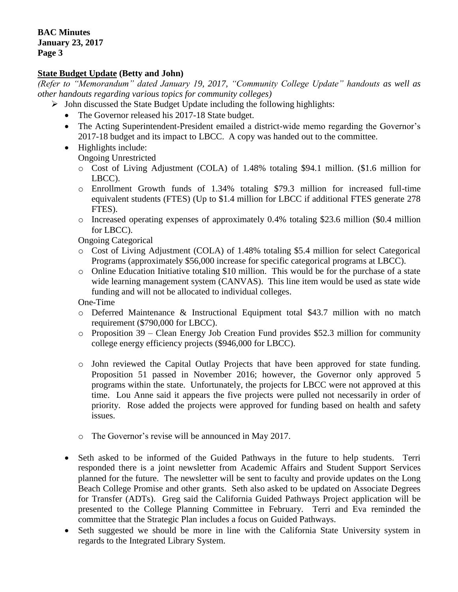## **State Budget Update (Betty and John)**

*(Refer to "Memorandum" dated January 19, 2017, "Community College Update" handouts as well as other handouts regarding various topics for community colleges)*

- $\triangleright$  John discussed the State Budget Update including the following highlights:
	- The Governor released his 2017-18 State budget.
	- The Acting Superintendent-President emailed a district-wide memo regarding the Governor's 2017-18 budget and its impact to LBCC. A copy was handed out to the committee.
	- Highlights include:

Ongoing Unrestricted

- o Cost of Living Adjustment (COLA) of 1.48% totaling \$94.1 million. (\$1.6 million for LBCC).
- o Enrollment Growth funds of 1.34% totaling \$79.3 million for increased full-time equivalent students (FTES) (Up to \$1.4 million for LBCC if additional FTES generate 278 FTES).
- $\circ$  Increased operating expenses of approximately 0.4% totaling \$23.6 million (\$0.4 million for LBCC).

Ongoing Categorical

- o Cost of Living Adjustment (COLA) of 1.48% totaling \$5.4 million for select Categorical Programs (approximately \$56,000 increase for specific categorical programs at LBCC).
- o Online Education Initiative totaling \$10 million. This would be for the purchase of a state wide learning management system (CANVAS). This line item would be used as state wide funding and will not be allocated to individual colleges.

One-Time

- o Deferred Maintenance & Instructional Equipment total \$43.7 million with no match requirement (\$790,000 for LBCC).
- o Proposition 39 Clean Energy Job Creation Fund provides \$52.3 million for community college energy efficiency projects (\$946,000 for LBCC).
- o John reviewed the Capital Outlay Projects that have been approved for state funding. Proposition 51 passed in November 2016; however, the Governor only approved 5 programs within the state. Unfortunately, the projects for LBCC were not approved at this time. Lou Anne said it appears the five projects were pulled not necessarily in order of priority. Rose added the projects were approved for funding based on health and safety issues.
- o The Governor's revise will be announced in May 2017.
- Seth asked to be informed of the Guided Pathways in the future to help students. Terri responded there is a joint newsletter from Academic Affairs and Student Support Services planned for the future. The newsletter will be sent to faculty and provide updates on the Long Beach College Promise and other grants. Seth also asked to be updated on Associate Degrees for Transfer (ADTs). Greg said the California Guided Pathways Project application will be presented to the College Planning Committee in February. Terri and Eva reminded the committee that the Strategic Plan includes a focus on Guided Pathways.
- Seth suggested we should be more in line with the California State University system in regards to the Integrated Library System.